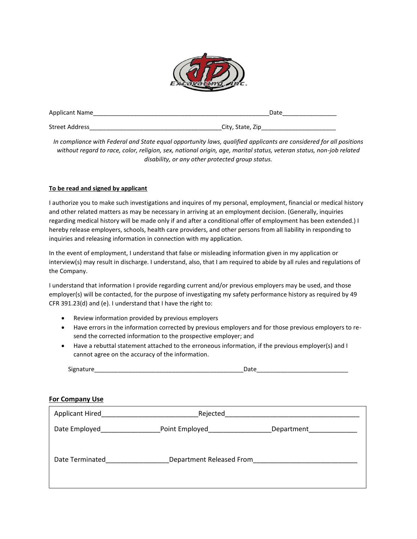

| <b>Applicant Name</b> | Date             |
|-----------------------|------------------|
| Street Address        | City, State, Zip |

*In compliance with Federal and State equal opportunity laws, qualified applicants are considered for all positions without regard to race, color, religion, sex, national origin, age, marital status, veteran status, non-job related disability, or any other protected group status.*

### **To be read and signed by applicant**

I authorize you to make such investigations and inquires of my personal, employment, financial or medical history and other related matters as may be necessary in arriving at an employment decision. (Generally, inquiries regarding medical history will be made only if and after a conditional offer of employment has been extended.) I hereby release employers, schools, health care providers, and other persons from all liability in responding to inquiries and releasing information in connection with my application.

In the event of employment, I understand that false or misleading information given in my application or interview(s) may result in discharge. I understand, also, that I am required to abide by all rules and regulations of the Company.

I understand that information I provide regarding current and/or previous employers may be used, and those employer(s) will be contacted, for the purpose of investigating my safety performance history as required by 49 CFR 391.23(d) and (e). I understand that I have the right to:

- Review information provided by previous employers
- Have errors in the information corrected by previous employers and for those previous employers to resend the corrected information to the prospective employer; and
- Have a rebuttal statement attached to the erroneous information, if the previous employer(s) and I cannot agree on the accuracy of the information.

# **For Company Use**

| <b>Applicant Hired</b> | Rejected                 |            |
|------------------------|--------------------------|------------|
| Date Employed          | Point Employed           | Department |
|                        |                          |            |
| Date Terminated        | Department Released From |            |
|                        |                          |            |
|                        |                          |            |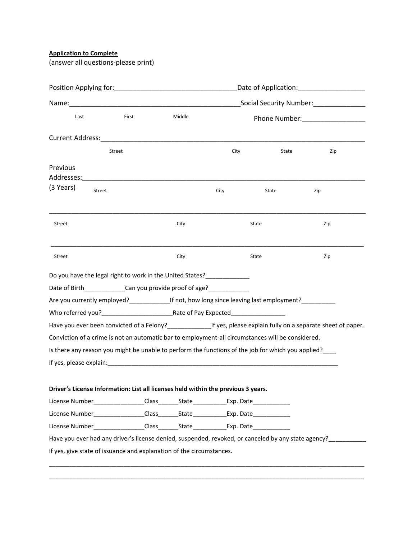**Application to Complete**

(answer all questions-please print)

| Date of Application: _______________________                                                                                                                                                                                   |                                        |        |      |                                  |                                                                                                                           |  |
|--------------------------------------------------------------------------------------------------------------------------------------------------------------------------------------------------------------------------------|----------------------------------------|--------|------|----------------------------------|---------------------------------------------------------------------------------------------------------------------------|--|
|                                                                                                                                                                                                                                | Social Security Number: ______________ |        |      |                                  |                                                                                                                           |  |
| Last                                                                                                                                                                                                                           | First                                  | Middle |      | Phone Number: __________________ |                                                                                                                           |  |
|                                                                                                                                                                                                                                |                                        |        |      |                                  |                                                                                                                           |  |
|                                                                                                                                                                                                                                | Street                                 |        | City | State                            | Zip                                                                                                                       |  |
| Previous<br>Addresses:                                                                                                                                                                                                         |                                        |        |      |                                  |                                                                                                                           |  |
| (3 Years)<br>Street                                                                                                                                                                                                            |                                        |        | City | State                            | Zip                                                                                                                       |  |
| Street                                                                                                                                                                                                                         |                                        | City   |      | State                            | Zip                                                                                                                       |  |
| <b>Street</b>                                                                                                                                                                                                                  |                                        | City   |      | <b>State</b>                     | Zip                                                                                                                       |  |
| Do you have the legal right to work in the United States?                                                                                                                                                                      |                                        |        |      |                                  |                                                                                                                           |  |
| Date of Birth________________Can you provide proof of age?_____________                                                                                                                                                        |                                        |        |      |                                  |                                                                                                                           |  |
| Are you currently employed?________________If not, how long since leaving last employment?_________                                                                                                                            |                                        |        |      |                                  |                                                                                                                           |  |
|                                                                                                                                                                                                                                |                                        |        |      |                                  |                                                                                                                           |  |
|                                                                                                                                                                                                                                |                                        |        |      |                                  | Have you ever been convicted of a Felony?______________________If yes, please explain fully on a separate sheet of paper. |  |
| Conviction of a crime is not an automatic bar to employment-all circumstances will be considered.                                                                                                                              |                                        |        |      |                                  |                                                                                                                           |  |
| Is there any reason you might be unable to perform the functions of the job for which you applied?                                                                                                                             |                                        |        |      |                                  |                                                                                                                           |  |
| If yes, please explain: example and a series of the series of the series of the series of the series of the series of the series of the series of the series of the series of the series of the series of the series of the se |                                        |        |      |                                  |                                                                                                                           |  |
| Driver's License Information: List all licenses held within the previous 3 years.                                                                                                                                              |                                        |        |      |                                  |                                                                                                                           |  |
| License Number_________________Class_______State_____________Exp. Date___________                                                                                                                                              |                                        |        |      |                                  |                                                                                                                           |  |
| License Number_________________Class________State____________Exp. Date___________                                                                                                                                              |                                        |        |      |                                  |                                                                                                                           |  |
| License Number_________________Class________State____________Exp. Date__________                                                                                                                                               |                                        |        |      |                                  |                                                                                                                           |  |
|                                                                                                                                                                                                                                |                                        |        |      |                                  | Have you ever had any driver's license denied, suspended, revoked, or canceled by any state agency?_______                |  |
| If yes, give state of issuance and explanation of the circumstances.                                                                                                                                                           |                                        |        |      |                                  |                                                                                                                           |  |

\_\_\_\_\_\_\_\_\_\_\_\_\_\_\_\_\_\_\_\_\_\_\_\_\_\_\_\_\_\_\_\_\_\_\_\_\_\_\_\_\_\_\_\_\_\_\_\_\_\_\_\_\_\_\_\_\_\_\_\_\_\_\_\_\_\_\_\_\_\_\_\_\_\_\_\_\_\_\_\_\_\_\_\_\_\_\_\_\_\_\_\_\_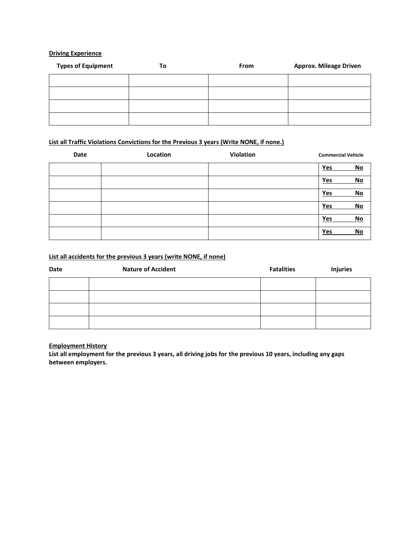### **Driving Experience**

| <b>Types of Equipment</b> | To | From | <b>Approx. Mileage Driven</b> |
|---------------------------|----|------|-------------------------------|
|                           |    |      |                               |
|                           |    |      |                               |
|                           |    |      |                               |
|                           |    |      |                               |

# **List all Traffic Violations Convictions for the Previous 3 years (Write NONE, if none.)**

| Date | Location | Violation | <b>Commercial Vehicle</b> |
|------|----------|-----------|---------------------------|
|      |          |           | Yes<br><b>No</b>          |
|      |          |           | No<br>Yes                 |
|      |          |           | No<br>Yes                 |
|      |          |           | No<br>Yes                 |
|      |          |           | No<br>Yes                 |
|      |          |           | <b>No</b><br>Yes          |

## **List all accidents for the previous 3 years (write NONE, if none)**

| Date | <b>Nature of Accident</b> | <b>Fatalities</b> | <b>Injuries</b> |
|------|---------------------------|-------------------|-----------------|
|      |                           |                   |                 |
|      |                           |                   |                 |
|      |                           |                   |                 |
|      |                           |                   |                 |

### **Employment History**

**List all employment for the previous 3 years, all driving jobs for the previous 10 years, including any gaps between employers.**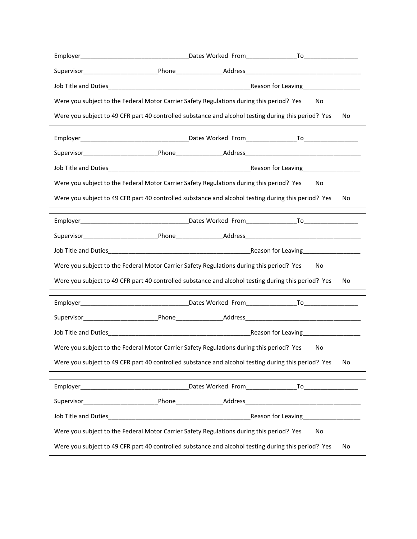|                                                                                                | Were you subject to the Federal Motor Carrier Safety Regulations during this period? Yes            | No  |  |
|------------------------------------------------------------------------------------------------|-----------------------------------------------------------------------------------------------------|-----|--|
|                                                                                                | Were you subject to 49 CFR part 40 controlled substance and alcohol testing during this period? Yes | No. |  |
|                                                                                                |                                                                                                     |     |  |
|                                                                                                |                                                                                                     |     |  |
|                                                                                                |                                                                                                     |     |  |
|                                                                                                | Were you subject to the Federal Motor Carrier Safety Regulations during this period? Yes            | No  |  |
|                                                                                                | Were you subject to 49 CFR part 40 controlled substance and alcohol testing during this period? Yes | No. |  |
|                                                                                                |                                                                                                     |     |  |
|                                                                                                |                                                                                                     |     |  |
|                                                                                                | Job Title and Duties <b>Exercise Community</b> Reason for Leaving <b>Reason for Leaving</b>         |     |  |
|                                                                                                | Were you subject to the Federal Motor Carrier Safety Regulations during this period? Yes            | No  |  |
|                                                                                                | Were you subject to 49 CFR part 40 controlled substance and alcohol testing during this period? Yes | No. |  |
|                                                                                                |                                                                                                     |     |  |
|                                                                                                |                                                                                                     |     |  |
|                                                                                                |                                                                                                     |     |  |
|                                                                                                | Were you subject to the Federal Motor Carrier Safety Regulations during this period? Yes            | No  |  |
|                                                                                                | Were you subject to 49 CFR part 40 controlled substance and alcohol testing during this period? Yes | No  |  |
|                                                                                                |                                                                                                     |     |  |
|                                                                                                |                                                                                                     |     |  |
|                                                                                                |                                                                                                     |     |  |
| Were you subject to the Federal Motor Carrier Safety Regulations during this period? Yes<br>No |                                                                                                     |     |  |
|                                                                                                | Were you subject to 49 CFR part 40 controlled substance and alcohol testing during this period? Yes | No  |  |